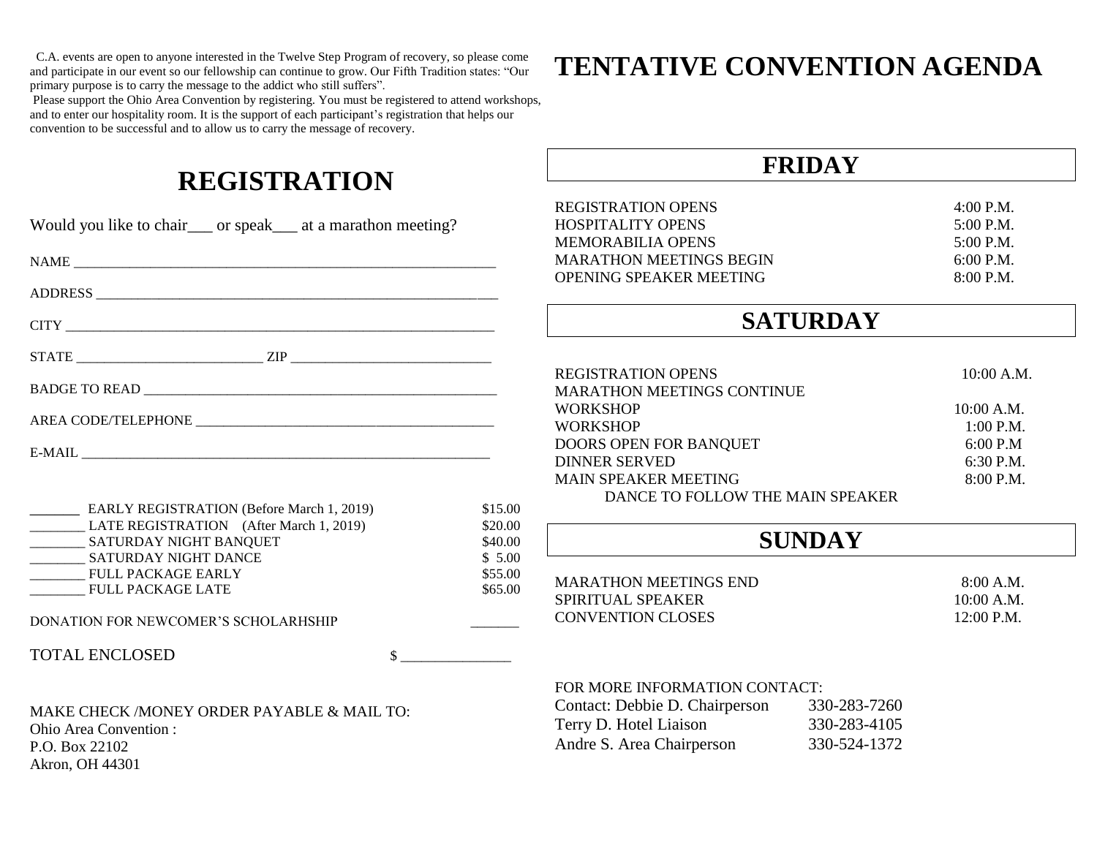C.A. events are open to anyone interested in the Twelve Step Program of recovery, so please come and participate in our event so our fellowship can continue to grow. Our Fifth Tradition states: "Our primary purpose is to carry the message to the addict who still suffers".

Please support the Ohio Area Convention by registering. You must be registered to attend workshops, and to enter our hospitality room. It is the support of each participant's registration that helps our convention to be successful and to allow us to carry the message of recovery.

## **REGISTRATION**

| Would you like to chair___ or speak___ at a marathon meeting? |                   | <b>REGISTRATION OPENS</b><br><b>HOSPITALITY OPENS</b><br><b>MEMORABILIA OPENS</b> |              | $4:00$ P.M.<br>5:00 P.M.<br>5:00 P.M. |
|---------------------------------------------------------------|-------------------|-----------------------------------------------------------------------------------|--------------|---------------------------------------|
|                                                               |                   | <b>MARATHON MEETINGS BEGIN</b>                                                    |              | $6:00$ P.M.                           |
|                                                               |                   | OPENING SPEAKER MEETING                                                           |              | 8:00 P.M.                             |
|                                                               |                   | <b>SATURDAY</b>                                                                   |              |                                       |
| $STATE \_$                                                    |                   |                                                                                   |              |                                       |
|                                                               |                   | <b>REGISTRATION OPENS</b><br><b>MARATHON MEETINGS CONTINUE</b>                    |              | 10:00 A.M.                            |
|                                                               |                   | <b>WORKSHOP</b>                                                                   |              | 10:00 A.M.                            |
|                                                               |                   | <b>WORKSHOP</b>                                                                   |              | $1:00$ P.M.                           |
|                                                               |                   | DOORS OPEN FOR BANQUET                                                            |              | 6:00 P.M                              |
|                                                               |                   | <b>DINNER SERVED</b>                                                              |              | 6:30 P.M.                             |
|                                                               |                   | <b>MAIN SPEAKER MEETING</b>                                                       |              | 8:00 P.M.                             |
|                                                               |                   | DANCE TO FOLLOW THE MAIN SPEAKER                                                  |              |                                       |
| <b>EARLY REGISTRATION (Before March 1, 2019)</b>              | \$15.00           |                                                                                   |              |                                       |
| LATE REGISTRATION (After March 1, 2019)<br>\$20.00            |                   |                                                                                   |              |                                       |
| __________ SATURDAY NIGHT BANQUET                             | \$40.00<br>\$5.00 | <b>SUNDAY</b>                                                                     |              |                                       |
| ___________ SATURDAY NIGHT DANCE                              | \$55.00           |                                                                                   |              |                                       |
| FULL PACKAGE EARLY<br><b>FULL PACKAGE LATE</b>                | \$65.00           | <b>MARATHON MEETINGS END</b>                                                      |              | 8:00 A.M.                             |
|                                                               |                   | SPIRITUAL SPEAKER                                                                 |              | $10:00$ A.M.                          |
| DONATION FOR NEWCOMER'S SCHOLARHSHIP                          |                   | <b>CONVENTION CLOSES</b>                                                          |              | 12:00 P.M.                            |
| <b>TOTAL ENCLOSED</b><br>$\sim$                               |                   |                                                                                   |              |                                       |
|                                                               |                   | FOR MORE INFORMATION CONTACT:                                                     |              |                                       |
| MAKE CHECK /MONEY ORDER PAYABLE & MAIL TO:                    |                   | Contact: Debbie D. Chairperson                                                    | 330-283-7260 |                                       |
| <b>Ohio Area Convention:</b>                                  |                   | Terry D. Hotel Liaison                                                            | 330-283-4105 |                                       |
| P.O. Box 22102                                                |                   | Andre S. Area Chairperson                                                         | 330-524-1372 |                                       |
| Akron, OH 44301                                               |                   |                                                                                   |              |                                       |
|                                                               |                   |                                                                                   |              |                                       |

## **TENTATIVE CONVENTION AGENDA**

**FRIDAY**